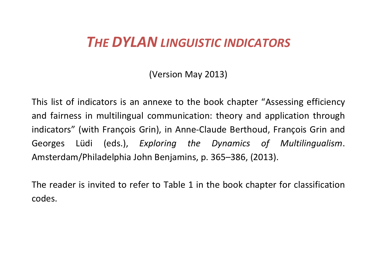# *THE DYLAN LINGUISTIC INDICATORS*

(Version May 2013)

This list of indicators is an annexe to the book chapter "Assessing efficiency and fairness in multilingual communication: theory and application through indicators" (with François Grin), in Anne-Claude Berthoud, François Grin and Georges Lüdi (eds.), *Exploring the Dynamics of Multilingualism*. Amsterdam/Philadelphia John Benjamins, p. 365–386, (2013).

The reader is invited to refer to Table 1 in the book chapter for classification codes.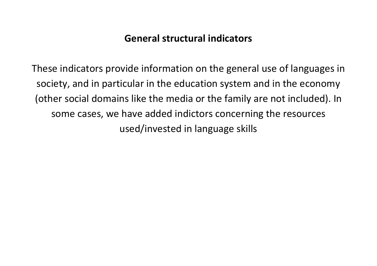## **General structural indicators**

These indicators provide information on the general use of languages in society, and in particular in the education system and in the economy (other social domains like the media or the family are not included). In some cases, we have added indictors concerning the resources used/invested in language skills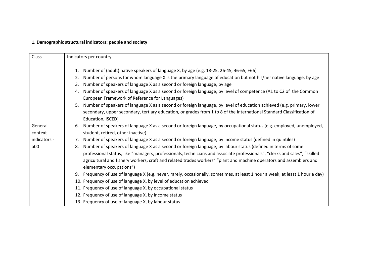### **1. Demographic structural indicators: people and society**

| Class        | Indicators per country                                                                                                            |  |  |
|--------------|-----------------------------------------------------------------------------------------------------------------------------------|--|--|
|              | Number of (adult) native speakers of language X, by age (e.g. 18-25, 26-45, 46-65, +66)<br>1.                                     |  |  |
|              | Number of persons for whom language X is the primary language of education but not his/her native language, by age<br>2.          |  |  |
|              | Number of speakers of language X as a second or foreign language, by age<br>3.                                                    |  |  |
|              | Number of speakers of language X as a second or foreign language, by level of competence (A1 to C2 of the Common<br>4.            |  |  |
|              | European Framework of Reference for Languages)                                                                                    |  |  |
|              | Number of speakers of language X as a second or foreign language, by level of education achieved (e.g. primary, lower<br>5.       |  |  |
|              | secondary, upper secondary, tertiary education, or grades from 1 to 8 of the International Standard Classification of             |  |  |
|              | Education, ISCED)                                                                                                                 |  |  |
| General      | Number of speakers of language X as a second or foreign language, by occupational status (e.g. employed, unemployed,<br>6.        |  |  |
| context      | student, retired, other inactive)                                                                                                 |  |  |
| indicators - | Number of speakers of language X as a second or foreign language, by income status (defined in quintiles)<br>7.                   |  |  |
| a00          | Number of speakers of language X as a second or foreign language, by labour status (defined in terms of some<br>8.                |  |  |
|              | professional status, like "managers, professionals, technicians and associate professionals", "clerks and sales", "skilled        |  |  |
|              | agricultural and fishery workers, craft and related trades workers" "plant and machine operators and assemblers and               |  |  |
|              | elementary occupations")                                                                                                          |  |  |
|              | Frequency of use of language X (e.g. never, rarely, occasionally, sometimes, at least 1 hour a week, at least 1 hour a day)<br>9. |  |  |
|              | 10. Frequency of use of language X, by level of education achieved                                                                |  |  |
|              | 11. Frequency of use of language X, by occupational status                                                                        |  |  |
|              | 12. Frequency of use of language X, by income status                                                                              |  |  |
|              | 13. Frequency of use of language X, by labour status                                                                              |  |  |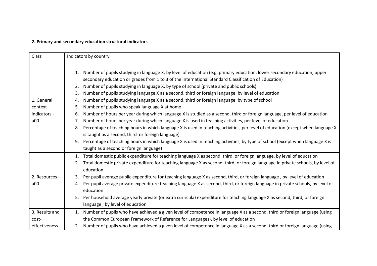### **2. Primary and secondary education structural indicators**

| Class          | Indicators by country                                                                                                                                                                                                                  |  |  |
|----------------|----------------------------------------------------------------------------------------------------------------------------------------------------------------------------------------------------------------------------------------|--|--|
|                | Number of pupils studying in language X, by level of education (e.g. primary education, lower secondary education, upper<br>1.<br>secondary education or grades from 1 to 3 of the International Standard Classification of Education) |  |  |
|                | Number of pupils studying in language X, by type of school (private and public schools)<br>2.                                                                                                                                          |  |  |
|                | Number of pupils studying language X as a second, third or foreign language, by level of education<br>3.                                                                                                                               |  |  |
| 1. General     | Number of pupils studying language X as a second, third or foreign language, by type of school<br>4.                                                                                                                                   |  |  |
| context        | Number of pupils who speak language X at home<br>5.                                                                                                                                                                                    |  |  |
| indicators -   | Number of hours per year during which language X is studied as a second, third or foreign language, per level of education<br>6.                                                                                                       |  |  |
| a00            | Number of hours per year during which language X is used in teaching activities, per level of education<br>7.                                                                                                                          |  |  |
|                | Percentage of teaching hours in which language X is used in teaching activities, per level of education (except when language X<br>8.                                                                                                  |  |  |
|                | is taught as a second, third or foreign language)                                                                                                                                                                                      |  |  |
|                | Percentage of teaching hours in which language X is used in teaching activities, by type of school (except when language X is<br>9.                                                                                                    |  |  |
|                | taught as a second or foreign language)                                                                                                                                                                                                |  |  |
|                | Total domestic public expenditure for teaching language X as second, third, or foreign language, by level of education<br>1.                                                                                                           |  |  |
|                | Total domestic private expenditure for teaching language X as second, third, or foreign language in private schools, by level of<br>2.<br>education                                                                                    |  |  |
| 2. Resources - | Per pupil average public expenditure for teaching language X as second, third, or foreign language, by level of education<br>3.                                                                                                        |  |  |
| a00            | Per pupil average private expenditure teaching language X as second, third, or foreign language in private schools, by level of<br>4.<br>education                                                                                     |  |  |
|                | Per household average yearly private (or extra curricula) expenditure for teaching language X as second, third, or foreign<br>5.<br>language, by level of education                                                                    |  |  |
| 3. Results and | Number of pupils who have achieved a given level of competence in language X as a second, third or foreign language (using<br>1.                                                                                                       |  |  |
| cost-          | the Common European Framework of Reference for Languages), by level of education                                                                                                                                                       |  |  |
| effectiveness  | 2. Number of pupils who have achieved a given level of competence in language X as a second, third or foreign language (using                                                                                                          |  |  |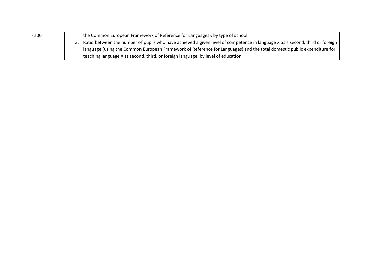| - a00 | the Common European Framework of Reference for Languages), by type of school                                                    |
|-------|---------------------------------------------------------------------------------------------------------------------------------|
|       | 3. Ratio between the number of pupils who have achieved a given level of competence in language X as a second, third or foreign |
|       | language (using the Common European Framework of Reference for Languages) and the total domestic public expenditure for         |
|       | teaching language X as second, third, or foreign language, by level of education                                                |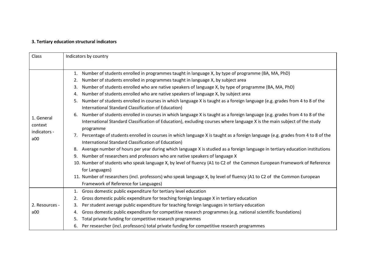### **3. Tertiary education structural indicators**

| Class                                        | Indicators by country                                                                                                                                                                                                                                                                                                                                                                                                                                                                                                                                                                                                                                                                                                                                                                                                                                                                                                                                                                                                                                                                                                                                                                                                                                                                                                                                                                                                                                                                                                                                                                                                  |  |  |
|----------------------------------------------|------------------------------------------------------------------------------------------------------------------------------------------------------------------------------------------------------------------------------------------------------------------------------------------------------------------------------------------------------------------------------------------------------------------------------------------------------------------------------------------------------------------------------------------------------------------------------------------------------------------------------------------------------------------------------------------------------------------------------------------------------------------------------------------------------------------------------------------------------------------------------------------------------------------------------------------------------------------------------------------------------------------------------------------------------------------------------------------------------------------------------------------------------------------------------------------------------------------------------------------------------------------------------------------------------------------------------------------------------------------------------------------------------------------------------------------------------------------------------------------------------------------------------------------------------------------------------------------------------------------------|--|--|
| 1. General<br>context<br>indicators -<br>a00 | 1. Number of students enrolled in programmes taught in language X, by type of programme (BA, MA, PhD)<br>Number of students enrolled in programmes taught in language X, by subject area<br>2.<br>Number of students enrolled who are native speakers of language X, by type of programme (BA, MA, PhD)<br>3.<br>Number of students enrolled who are native speakers of language X, by subject area<br>4.<br>Number of students enrolled in courses in which language X is taught as a foreign language (e.g. grades from 4 to 8 of the<br>5.<br>International Standard Classification of Education)<br>Number of students enrolled in courses in which language X is taught as a foreign language (e.g. grades from 4 to 8 of the<br>6.<br>International Standard Classification of Education), excluding courses where language X is the main subject of the study<br>programme<br>7. Percentage of students enrolled in courses in which language X is taught as a foreign language (e.g. grades from 4 to 8 of the<br>International Standard Classification of Education)<br>8. Average number of hours per year during which language X is studied as a foreign language in tertiary education institutions<br>Number of researchers and professors who are native speakers of language X<br>9.<br>10. Number of students who speak language X, by level of fluency (A1 to C2 of the Common European Framework of Reference<br>for Languages)<br>11. Number of researchers (incl. professors) who speak language X, by level of fluency (A1 to C2 of the Common European<br>Framework of Reference for Languages) |  |  |
| 2. Resources -<br>a00                        | Gross domestic public expenditure for tertiary level education<br>1.<br>Gross domestic public expenditure for teaching foreign language X in tertiary education<br>2.<br>Per student average public expenditure for teaching foreign languages in tertiary education<br>3.<br>Gross domestic public expenditure for competitive research programmes (e.g. national scientific foundations)<br>4.<br>Total private funding for competitive research programmes<br>5.                                                                                                                                                                                                                                                                                                                                                                                                                                                                                                                                                                                                                                                                                                                                                                                                                                                                                                                                                                                                                                                                                                                                                    |  |  |
|                                              | 6. Per researcher (incl. professors) total private funding for competitive research programmes                                                                                                                                                                                                                                                                                                                                                                                                                                                                                                                                                                                                                                                                                                                                                                                                                                                                                                                                                                                                                                                                                                                                                                                                                                                                                                                                                                                                                                                                                                                         |  |  |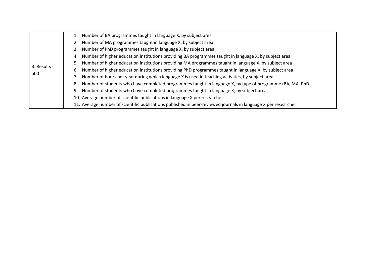|              | 1. Number of BA programmes taught in language X, by subject area                                               |
|--------------|----------------------------------------------------------------------------------------------------------------|
|              | 2. Number of MA programmes taught in language X, by subject area                                               |
|              | 3. Number of PhD programmes taught in language X, by subject area                                              |
|              | 4. Number of higher education institutions providing BA programmes taught in language X, by subject area       |
| 3. Results - | 5. Number of higher education institutions providing MA programmes taught in language X, by subject area       |
|              | 6. Number of higher education institutions providing PhD programmes taught in language X, by subject area      |
| a00          | 7. Number of hours per year during which language X is used in teaching activities, by subject area            |
|              | 8. Number of students who have completed programmes taught in language X, by type of programme (BA, MA, PhD)   |
|              | 9. Number of students who have completed programmes taught in language X, by subject area                      |
|              | 10. Average number of scientific publications in language X per researcher                                     |
|              | 11. Average number of scientific publications published in peer-reviewed journals in language X per researcher |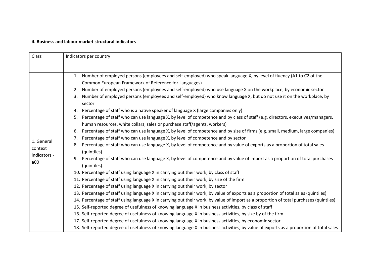#### **4. Business and labour market structural indicators**

| Class                                        | Indicators per country                                                                                                                                                                                           |  |  |
|----------------------------------------------|------------------------------------------------------------------------------------------------------------------------------------------------------------------------------------------------------------------|--|--|
|                                              |                                                                                                                                                                                                                  |  |  |
|                                              | 1. Number of employed persons (employees and self-employed) who speak language X, by level of fluency (A1 to C2 of the<br>Common European Framework of Reference for Languages)                                  |  |  |
|                                              | Number of employed persons (employees and self-employed) who use language X on the workplace, by economic sector<br>2.                                                                                           |  |  |
|                                              | Number of employed persons (employees and self-employed) who know language X, but do not use it on the workplace, by<br>3.<br>sector                                                                             |  |  |
|                                              | Percentage of staff who is a native speaker of language X (large companies only)<br>4.                                                                                                                           |  |  |
|                                              | Percentage of staff who can use language X, by level of competence and by class of staff (e.g. directors, executives/managers,<br>5.<br>human resources, white collars, sales or purchase staff/agents, workers) |  |  |
|                                              | Percentage of staff who can use language X, by level of competence and by size of firms (e.g. small, medium, large companies)<br>6.                                                                              |  |  |
|                                              | Percentage of staff who can use language X, by level of competence and by sector<br>7.                                                                                                                           |  |  |
| 1. General<br>context<br>indicators -<br>a00 | Percentage of staff who can use language X, by level of competence and by value of exports as a proportion of total sales<br>8.<br>(quintiles).                                                                  |  |  |
|                                              | Percentage of staff who can use language X, by level of competence and by value of import as a proportion of total purchases<br>9.<br>(quintiles).                                                               |  |  |
|                                              | 10. Percentage of staff using language X in carrying out their work, by class of staff                                                                                                                           |  |  |
|                                              | 11. Percentage of staff using language X in carrying out their work, by size of the firm                                                                                                                         |  |  |
|                                              | 12. Percentage of staff using language X in carrying out their work, by sector                                                                                                                                   |  |  |
|                                              | 13. Percentage of staff using language X in carrying out their work, by value of exports as a proportion of total sales (quintiles)                                                                              |  |  |
|                                              | 14. Percentage of staff using language X in carrying out their work, by value of import as a proportion of total purchases (quintiles)                                                                           |  |  |
|                                              | 15. Self-reported degree of usefulness of knowing language X in business activities, by class of staff                                                                                                           |  |  |
|                                              | 16. Self-reported degree of usefulness of knowing language X in business activities, by size by of the firm                                                                                                      |  |  |
|                                              | 17. Self-reported degree of usefulness of knowing language X in business activities, by economic sector                                                                                                          |  |  |
|                                              | 18. Self-reported degree of usefulness of knowing language X in business activities, by value of exports as a proportion of total sales                                                                          |  |  |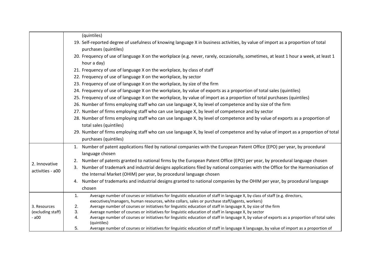|                   | (quintiles)                                                                                                                                                                                                                         |
|-------------------|-------------------------------------------------------------------------------------------------------------------------------------------------------------------------------------------------------------------------------------|
|                   | 19. Self-reported degree of usefulness of knowing language X in business activities, by value of import as a proportion of total<br>purchases (quintiles)                                                                           |
|                   | 20. Frequency of use of language X on the workplace (e.g. never, rarely, occasionally, sometimes, at least 1 hour a week, at least 1<br>hour a day)                                                                                 |
|                   | 21. Frequency of use of language X on the workplace, by class of staff                                                                                                                                                              |
|                   | 22. Frequency of use of language X on the workplace, by sector                                                                                                                                                                      |
|                   | 23. Frequency of use of language X on the workplace, by size of the firm                                                                                                                                                            |
|                   | 24. Frequency of use of language X on the workplace, by value of exports as a proportion of total sales (quintiles)                                                                                                                 |
|                   | 25. Frequency of use of language X on the workplace, by value of import as a proportion of total purchases (quintiles)                                                                                                              |
|                   | 26. Number of firms employing staff who can use language X, by level of competence and by size of the firm                                                                                                                          |
|                   | 27. Number of firms employing staff who can use language X, by level of competence and by sector                                                                                                                                    |
|                   | 28. Number of firms employing staff who can use language X, by level of competence and by value of exports as a proportion of<br>total sales (quintiles)                                                                            |
|                   | 29. Number of firms employing staff who can use language X, by level of competence and by value of import as a proportion of total<br>purchases (quintiles)                                                                         |
|                   | 1. Number of patent applications filed by national companies with the European Patent Office (EPO) per year, by procedural<br>language chosen                                                                                       |
|                   | Number of patents granted to national firms by the European Patent Office (EPO) per year, by procedural language chosen<br>2.                                                                                                       |
| 2. Innovative     | Number of trademark and industrial designs applications filed by national companies with the Office for the Harmonisation of<br>3.                                                                                                  |
| activities - a00  | the Internal Market (OHIM) per year, by procedural language chosen                                                                                                                                                                  |
|                   | Number of trademarks and industrial designs granted to national companies by the OHIM per year, by procedural language<br>4.                                                                                                        |
|                   | chosen                                                                                                                                                                                                                              |
|                   | Average number of courses or initiatives for linguistic education of staff in language X, by class of staff (e.g. directors,<br>1.<br>executives/managers, human resources, white collars, sales or purchase staff/agents, workers) |
| 3. Resources      | 2.<br>Average number of courses or initiatives for linguistic education of staff in language X, by size of the firm                                                                                                                 |
| (excluding staff) | 3.<br>Average number of courses or initiatives for linguistic education of staff in language X, by sector                                                                                                                           |
| - a00             | 4.<br>Average number of courses or initiatives for linguistic education of staff in language X, by value of exports as a proportion of total sales<br>(quintiles)                                                                   |
|                   | Average number of courses or initiatives for linguistic education of staff in language X language, by value of import as a proportion of<br>5.                                                                                      |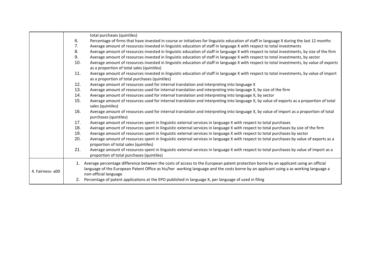|                  |     | total purchases (quintiles)                                                                                                                                                                                                                                                 |
|------------------|-----|-----------------------------------------------------------------------------------------------------------------------------------------------------------------------------------------------------------------------------------------------------------------------------|
|                  | 6.  | Percentage of firms that have invested in course or initiatives for linguistic education of staff in language X during the last 12 months                                                                                                                                   |
|                  | 7.  | Average amount of resources invested in linguistic education of staff in language X with respect to total investments                                                                                                                                                       |
|                  | 8.  | Average amount of resources invested in linguistic education of staff in language X with respect to total investments, by size of the firm                                                                                                                                  |
|                  | 9.  | Average amount of resources invested in linguistic education of staff in language X with respect to total investments, by sector                                                                                                                                            |
|                  | 10. | Average amount of resources invested in linguistic education of staff in language X with respect to total investments, by value of exports<br>as a proportion of total sales (quintiles)                                                                                    |
|                  | 11. | Average amount of resources invested in linguistic education of staff in language X with respect to total investments, by value of import<br>as a proportion of total purchases (quintiles)                                                                                 |
|                  | 12. | Average amount of resources used for internal translation and interpreting into language X                                                                                                                                                                                  |
|                  | 13. | Average amount of resources used for internal translation and interpreting into language X, by size of the firm                                                                                                                                                             |
|                  | 14. | Average amount of resources used for internal translation and interpreting into language X, by sector                                                                                                                                                                       |
|                  | 15. | Average amount of resources used for internal translation and interpreting into language X, by value of exports as a proportion of total<br>sales (quintiles)                                                                                                               |
|                  | 16. | Average amount of resources used for internal translation and interpreting into language X, by value of import as a proportion of total<br>purchases (quintiles)                                                                                                            |
|                  | 17. | Average amount of resources spent in linguistic external services in language X with respect to total purchases                                                                                                                                                             |
|                  | 18. | Average amount of resources spent in linguistic external services in language X with respect to total purchases by size of the firm                                                                                                                                         |
|                  | 19. | Average amount of resources spent in linguistic external services in language X with respect to total purchases by sector                                                                                                                                                   |
|                  | 20. | Average amount of resources spent in linguistic external services in language X with respect to total purchases by value of exports as a<br>proportion of total sales (quintiles)                                                                                           |
|                  | 21. | Average amount of resources spent in linguistic external services in language X with respect to total purchases by value of import as a<br>proportion of total purchases (quintiles)                                                                                        |
| 4. Fairness- a00 | 1.  | Average percentage difference between the costs of access to the European patent protection borne by an applicant using an official<br>language of the European Patent Office as his/her working language and the costs borne by an applicant using a as working language a |
|                  | 2.  | non-official language<br>Percentage of patent applications at the EPO published in language X, per language of used in filing                                                                                                                                               |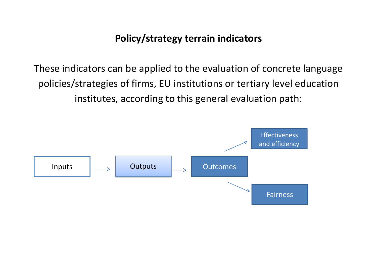## **Policy/strategy terrain indicators**

These indicators can be applied to the evaluation of concrete language policies/strategies of firms, EU institutions or tertiary level education institutes, according to this general evaluation path:

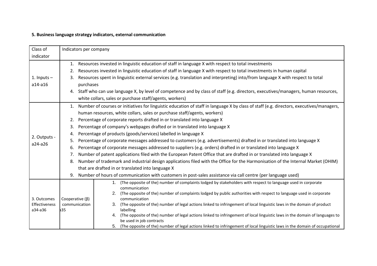### **5. Business language strategy indicators, external communication**

| Class of                     | Indicators per company |                                                                                                                                                                |  |  |  |  |  |
|------------------------------|------------------------|----------------------------------------------------------------------------------------------------------------------------------------------------------------|--|--|--|--|--|
| indicator                    |                        |                                                                                                                                                                |  |  |  |  |  |
|                              | 1.                     | Resources invested in linguistic education of staff in language X with respect to total investments                                                            |  |  |  |  |  |
|                              | 2.                     | Resources invested in linguistic education of staff in language X with respect to total investments in human capital                                           |  |  |  |  |  |
| 1. Inputs $-$                | 3.                     | Resources spent in linguistic external services (e.g. translation and interpreting) into/from language X with respect to total                                 |  |  |  |  |  |
| $a14-a16$                    |                        | purchases                                                                                                                                                      |  |  |  |  |  |
|                              |                        | 4. Staff who can use language X, by level of competence and by class of staff (e.g. directors, executives/managers, human resources,                           |  |  |  |  |  |
|                              |                        | white collars, sales or purchase staff/agents, workers)                                                                                                        |  |  |  |  |  |
|                              | 1.                     | Number of courses or initiatives for linguistic education of staff in language X by class of staff (e.g. directors, executives/managers,                       |  |  |  |  |  |
|                              |                        | human resources, white collars, sales or purchase staff/agents, workers)                                                                                       |  |  |  |  |  |
|                              | 2.                     | Percentage of corporate reports drafted in or translated into language X                                                                                       |  |  |  |  |  |
|                              | 3.                     | Percentage of company's webpages drafted or in translated into language X                                                                                      |  |  |  |  |  |
| 2. Outputs -                 | 4.                     | Percentage of products (goods/services) labelled in language X                                                                                                 |  |  |  |  |  |
| a24-a26                      | 5.                     | Percentage of corporate messages addressed to customers (e.g. advertisements) drafted in or translated into language X                                         |  |  |  |  |  |
|                              | 6.                     | Percentage of corporate messages addressed to suppliers (e.g. orders) drafted in or translated into language X                                                 |  |  |  |  |  |
|                              | 7.                     | Number of patent applications filed with the European Patent Office that are drafted in or translated into language X                                          |  |  |  |  |  |
|                              | 8.                     | Number of trademark and industrial design applications filed with the Office for the Harmonisation of the Internal Market (OHIM)                               |  |  |  |  |  |
|                              |                        | that are drafted in or translated into language X                                                                                                              |  |  |  |  |  |
|                              | 9.                     | Number of hours of communication with customers in post-sales assistance via call centre (per language used)                                                   |  |  |  |  |  |
|                              |                        | 1. (The opposite of the) number of complaints lodged by stakeholders with respect to language used in corporate<br>communication                               |  |  |  |  |  |
|                              |                        | (The opposite of the) number of complaints lodged by public authorities with respect to language used in corporate<br>2.                                       |  |  |  |  |  |
| 3. Outcomes<br>Effectiveness | Cooperative $(\beta)$  | communication<br>(The opposite of the) number of legal actions linked to infringement of local linguistic laws in the domain of product<br>communication<br>3. |  |  |  |  |  |
| a34-a36                      | a35                    | labelling                                                                                                                                                      |  |  |  |  |  |
|                              |                        | (The opposite of the) number of legal actions linked to infringement of local linguistic laws in the domain of languages to<br>be used in job contracts        |  |  |  |  |  |
|                              |                        | (The opposite of the) number of legal actions linked to infringement of local linguistic laws in the domain of occupational<br>5.                              |  |  |  |  |  |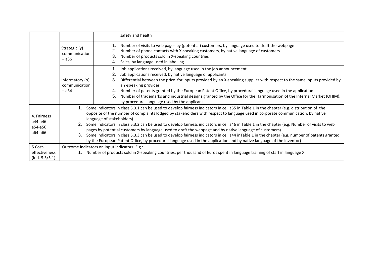|                                              |                                                    | safety and health                                                                                                                                                                                                                                                                                                                                                                                                                                                                                                                                                                                                                                                                                                                                                                                                                                |
|----------------------------------------------|----------------------------------------------------|--------------------------------------------------------------------------------------------------------------------------------------------------------------------------------------------------------------------------------------------------------------------------------------------------------------------------------------------------------------------------------------------------------------------------------------------------------------------------------------------------------------------------------------------------------------------------------------------------------------------------------------------------------------------------------------------------------------------------------------------------------------------------------------------------------------------------------------------------|
|                                              | Strategic $(y)$<br>communication<br>$- a36$        | Number of visits to web pages by (potential) customers, by language used to draft the webpage<br>Number of phone contacts with X-speaking customers, by native language of customers<br>2.<br>3.<br>Number of products sold in X-speaking countries<br>Sales, by language used in labelling<br>4.                                                                                                                                                                                                                                                                                                                                                                                                                                                                                                                                                |
|                                              | Informatory $(\alpha)$<br>communication<br>$-$ a34 | Job applications received, by language used in the job announcement<br>Job applications received, by native language of applicants<br>3.<br>Differential between the price for inputs provided by an X-speaking supplier with respect to the same inputs provided by<br>a Y-speaking provider<br>Number of patents granted by the European Patent Office, by procedural language used in the application<br>4.<br>Number of trademarks and industrial designs granted by the Office for the Harmonisation of the Internal Market (OHIM),<br>5.<br>by procedural language used by the applicant                                                                                                                                                                                                                                                   |
| 4. Fairness<br>a44-a46<br>a54-a56<br>a64-a66 | 1.<br>З.                                           | Some indicators in class 5.3.1 can be used to develop fairness indicators in cell a55 in Table 1 in the chapter (e.g. distribution of the<br>opposite of the number of complaints lodged by stakeholders with respect to language used in corporate communication, by native<br>language of stakeholders)<br>Some indicators in class 5.3.2 can be used to develop fairness indicators in cell a46 in Table 1 in the chapter (e.g. Number of visits to web<br>pages by potential customers by language used to draft the webpage and by native language of customers)<br>Some indicators in class 5.3.3 can be used to develop fairness indicators in cell a44 inTable 1 in the chapter (e.g. number of patents granted<br>by the European Patent Office, by procedural language used in the application and by native language of the inventor) |
| 5 Cost-<br>effectiveness<br>(Ind. 5.3/5.1)   |                                                    | Outcome indicators on input indicators. E.g.:<br>Number of products sold in X-speaking countries, per thousand of Euros spent in language training of staff in language X                                                                                                                                                                                                                                                                                                                                                                                                                                                                                                                                                                                                                                                                        |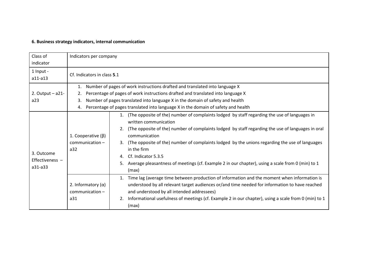### **6. Business strategy indicators, internal communication**

| Class of<br>indicator                    | Indicators per company                                                                                                                                                                                                                                                                                                                                       |                                                                                                                                                                                                                                                                                                                                                                                                                                                                                                                    |  |
|------------------------------------------|--------------------------------------------------------------------------------------------------------------------------------------------------------------------------------------------------------------------------------------------------------------------------------------------------------------------------------------------------------------|--------------------------------------------------------------------------------------------------------------------------------------------------------------------------------------------------------------------------------------------------------------------------------------------------------------------------------------------------------------------------------------------------------------------------------------------------------------------------------------------------------------------|--|
| 1 Input -<br>a11-a13                     | Cf. Indicators in class 5.1                                                                                                                                                                                                                                                                                                                                  |                                                                                                                                                                                                                                                                                                                                                                                                                                                                                                                    |  |
| 2. Output $-$ a21-<br>a23                | Number of pages of work instructions drafted and translated into language X<br>1.<br>Percentage of pages of work instructions drafted and translated into language X<br>2.<br>Number of pages translated into language X in the domain of safety and health<br>3.<br>Percentage of pages translated into language X in the domain of safety and health<br>4. |                                                                                                                                                                                                                                                                                                                                                                                                                                                                                                                    |  |
| 3. Outcome<br>Effectiveness -<br>a31-a33 | 1. Cooperative $(\beta)$<br>$common -$<br>a32                                                                                                                                                                                                                                                                                                                | (The opposite of the) number of complaints lodged by staff regarding the use of languages in<br>1.<br>written communication<br>(The opposite of the) number of complaints lodged by staff regarding the use of languages in oral<br>communication<br>(The opposite of the) number of complaints lodged by the unions regarding the use of languages<br>in the firm<br>Cf. Indicator 5.3.5<br>4.<br>Average pleasantness of meetings (cf. Example 2 in our chapter), using a scale from 0 (min) to 1<br>5.<br>(max) |  |
|                                          | 2. Informatory $(\alpha)$<br>$common -$<br>a31                                                                                                                                                                                                                                                                                                               | Time lag (average time between production of information and the moment when information is<br>1.<br>understood by all relevant target audiences or/and time needed for information to have reached<br>and understood by all intended addressees)<br>Informational usefulness of meetings (cf. Example 2 in our chapter), using a scale from 0 (min) to 1<br>2.<br>(max)                                                                                                                                           |  |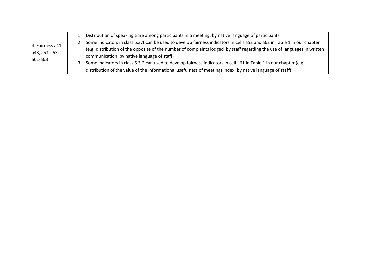|                                              | 1. Distribution of speaking time among participants in a meeting, by native language of participants                        |
|----------------------------------------------|-----------------------------------------------------------------------------------------------------------------------------|
| 4. Fairness a41-<br>a43, a51-a53,<br>a61-a63 | 2. Some indicators in class 6.3.1 can be used to develop fairness indicators in cells a52 and a62 in Table 1 in our chapter |
|                                              | (e.g. distribution of the opposite of the number of complaints lodged by staff regarding the use of languages in written    |
|                                              | communication, by native language of staff)                                                                                 |
|                                              | Some indicators in class 6.3.2 can used to develop fairness indicators in cell a61 in Table 1 in our chapter (e.g.<br>3.    |
|                                              | distribution of the value of the informational usefulness of meetings index, by native language of staff)                   |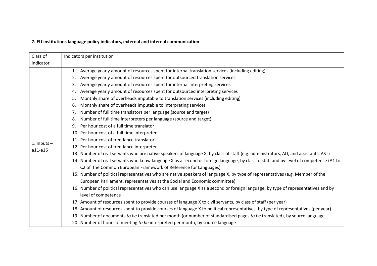### **7. EU institutions language policy indicators, external and internal communication**

| Class of      | Indicators per institution                                                                                                            |  |  |  |  |  |  |
|---------------|---------------------------------------------------------------------------------------------------------------------------------------|--|--|--|--|--|--|
| indicator     |                                                                                                                                       |  |  |  |  |  |  |
|               | Average yearly amount of resources spent for internal translation services (including editing)<br>1.                                  |  |  |  |  |  |  |
|               | Average yearly amount of resources spent for outsourced translation services<br>2.                                                    |  |  |  |  |  |  |
|               | Average yearly amount of resources spent for internal interpreting services<br>3.                                                     |  |  |  |  |  |  |
|               | Average yearly amount of resources spent for outsourced interpreting services<br>4.                                                   |  |  |  |  |  |  |
|               | Monthly share of overheads imputable to translation services (including editing)<br>5.                                                |  |  |  |  |  |  |
|               | Monthly share of overheads imputable to interpreting services<br>6.                                                                   |  |  |  |  |  |  |
|               | Number of full time translators per language (source and target)<br>7.                                                                |  |  |  |  |  |  |
|               | Number of full time interpreters per language (source and target)<br>8.                                                               |  |  |  |  |  |  |
|               | Per hour cost of a full time translator<br>9.                                                                                         |  |  |  |  |  |  |
|               | 10. Per hour cost of a full time interpreter                                                                                          |  |  |  |  |  |  |
| 1. Inputs $-$ | 11. Per hour cost of free-lance translator                                                                                            |  |  |  |  |  |  |
| a11-a16       | 12. Per hour cost of free-lance interpreter                                                                                           |  |  |  |  |  |  |
|               | 13. Number of civil servants who are native speakers of language X, by class of staff (e.g. administrators, AD, and assistants, AST)  |  |  |  |  |  |  |
|               | 14. Number of civil servants who know language X as a second or foreign language, by class of staff and by level of competence (A1 to |  |  |  |  |  |  |
|               | C2 of the Common European Framework of Reference for Languages)                                                                       |  |  |  |  |  |  |
|               | 15. Number of political representatives who are native speakers of language X, by type of representatives (e.g. Member of the         |  |  |  |  |  |  |
|               | European Parliament, representatives at the Social and Economic committee)                                                            |  |  |  |  |  |  |
|               | 16. Number of political representatives who can use language X as a second or foreign language, by type of representatives and by     |  |  |  |  |  |  |
|               | level of competence                                                                                                                   |  |  |  |  |  |  |
|               | 17. Amount of resources spent to provide courses of language X to civil servants, by class of staff (per year)                        |  |  |  |  |  |  |
|               | 18. Amount of resources spent to provide courses of language X to political representatives, by type of representatives (per year)    |  |  |  |  |  |  |
|               | 19. Number of documents to be translated per month (or number of standardised pages to be translated), by source language             |  |  |  |  |  |  |
|               | 20. Number of hours of meeting to be interpreted per month, by source language                                                        |  |  |  |  |  |  |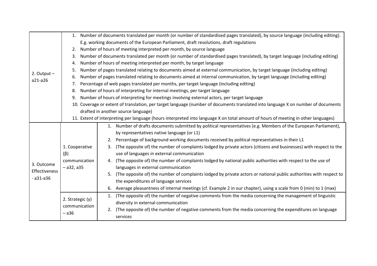|               |                    | 1. Number of documents translated per month (or number of standardised pages translated), by source language (including editing).  |  |  |  |  |  |
|---------------|--------------------|------------------------------------------------------------------------------------------------------------------------------------|--|--|--|--|--|
|               |                    | E.g. working documents of the European Parliament, draft resolutions, draft regulations                                            |  |  |  |  |  |
|               | 2.                 | Number of hours of meeting interpreted per month, by source language                                                               |  |  |  |  |  |
|               | 3.                 | Number of documents translated per month (or number of standardised pages translated), by target language (including editing)      |  |  |  |  |  |
|               | 4.                 | Number of hours of meeting interpreted per month, by target language                                                               |  |  |  |  |  |
| 2. Output $-$ | 5.                 | Number of pages translated relating to documents aimed at external communication, by target language (including editing)           |  |  |  |  |  |
| a21-a26       | 6.                 | Number of pages translated relating to documents aimed at internal communication, by target language (including editing)           |  |  |  |  |  |
|               | 7.                 | Percentage of web pages translated per months, per target language (including editing)                                             |  |  |  |  |  |
|               | 8.                 | Number of hours of interpreting for internal meetings, per target language                                                         |  |  |  |  |  |
|               | 9.                 | Number of hours of interpreting for meetings involving external actors, per target language                                        |  |  |  |  |  |
|               |                    | 10. Coverage or extent of translation, per target language (number of documents translated into language X on number of documents  |  |  |  |  |  |
|               |                    | drafted in another source language)                                                                                                |  |  |  |  |  |
|               |                    | 11. Extent of interpreting per language (hours interpreted into language X on total amount of hours of meeting in other languages) |  |  |  |  |  |
|               |                    | 1. Number of drafts documents submitted by political representatives (e.g. Members of the European Parliament),                    |  |  |  |  |  |
|               |                    | by representatives native language (or L1)                                                                                         |  |  |  |  |  |
|               |                    | Percentage of background working documents received by political representatives in their L1<br>2.                                 |  |  |  |  |  |
|               | 1. Cooperative     | (The opposite of) the number of complaints lodged by private actors (citizens and businesses) with respect to the<br>3.            |  |  |  |  |  |
|               | $(\beta)$          | use of languages in external communication                                                                                         |  |  |  |  |  |
| 3. Outcome    | communication      | (The opposite of) the number of complaints lodged by national public authorities with respect to the use of<br>4.                  |  |  |  |  |  |
| Effectiveness | $-$ a32, a35       | languages in external communication                                                                                                |  |  |  |  |  |
| $- a31 - a36$ |                    | (The opposite of) the number of complaints lodged by private actors or national public authorities with respect to<br>5.           |  |  |  |  |  |
|               |                    | the expenditures of language services                                                                                              |  |  |  |  |  |
|               |                    | Average pleasantness of internal meetings (cf. Example 2 in our chapter), using a scale from 0 (min) to 1 (max)<br>6.              |  |  |  |  |  |
|               | 2. Strategic $(y)$ | (The opposite of) the number of negative comments from the media concerning the management of linguistic<br>1.                     |  |  |  |  |  |
|               | communication      | diversity in external communication                                                                                                |  |  |  |  |  |
|               | $-$ a36            | (The opposite of) the number of negative comments from the media concerning the expenditures on language<br>2.                     |  |  |  |  |  |
|               |                    | services                                                                                                                           |  |  |  |  |  |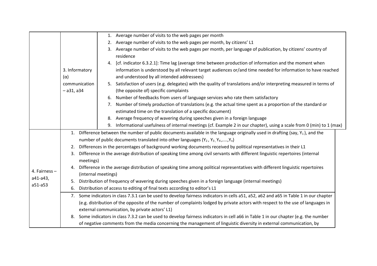|               |                                                                                                                                      |                                                                                                                                    |                                                                                                                  | 1. Average number of visits to the web pages per month                                                                           |  |  |  |
|---------------|--------------------------------------------------------------------------------------------------------------------------------------|------------------------------------------------------------------------------------------------------------------------------------|------------------------------------------------------------------------------------------------------------------|----------------------------------------------------------------------------------------------------------------------------------|--|--|--|
|               |                                                                                                                                      |                                                                                                                                    | 2.                                                                                                               | Average number of visits to the web pages per month, by citizens' L1                                                             |  |  |  |
|               |                                                                                                                                      |                                                                                                                                    |                                                                                                                  | 3. Average number of visits to the web pages per month, per language of publication, by citizens' country of                     |  |  |  |
|               |                                                                                                                                      |                                                                                                                                    |                                                                                                                  | residence                                                                                                                        |  |  |  |
|               |                                                                                                                                      |                                                                                                                                    |                                                                                                                  | [cf. indicator 6.3.2.1]: Time lag (average time between production of information and the moment when                            |  |  |  |
|               | 3. Informatory<br>$(\alpha)$<br>communication<br>$-$ a31, a34                                                                        |                                                                                                                                    |                                                                                                                  | information is understood by all relevant target audiences or/and time needed for information to have reached                    |  |  |  |
|               |                                                                                                                                      |                                                                                                                                    |                                                                                                                  | and understood by all intended addressees)                                                                                       |  |  |  |
|               |                                                                                                                                      |                                                                                                                                    |                                                                                                                  | 5. Satisfaction of users (e.g. delegates) with the quality of translations and/or interpreting measured in terms of              |  |  |  |
|               |                                                                                                                                      |                                                                                                                                    |                                                                                                                  | (the opposite of) specific complaints                                                                                            |  |  |  |
|               |                                                                                                                                      |                                                                                                                                    | 6.                                                                                                               | Number of feedbacks from users of language services who rate them satisfactory                                                   |  |  |  |
|               |                                                                                                                                      |                                                                                                                                    |                                                                                                                  | 7. Number of timely production of translations (e.g. the actual time spent as a proportion of the standard or                    |  |  |  |
|               |                                                                                                                                      |                                                                                                                                    |                                                                                                                  | estimated time on the translation of a specific document)                                                                        |  |  |  |
|               |                                                                                                                                      |                                                                                                                                    |                                                                                                                  | 8. Average frequency of wavering during speeches given in a foreign language                                                     |  |  |  |
|               |                                                                                                                                      |                                                                                                                                    |                                                                                                                  | 9. Informational usefulness of internal meetings (cf. Example 2 in our chapter), using a scale from 0 (min) to 1 (max)           |  |  |  |
|               | Difference between the number of public documents available in the language originally used in drafting (say, $Y_1$ ), and the<br>1. |                                                                                                                                    |                                                                                                                  |                                                                                                                                  |  |  |  |
|               |                                                                                                                                      | number of public documents translated into other languages $(Y_2, Y_3, Y_4, , Y_n)$                                                |                                                                                                                  |                                                                                                                                  |  |  |  |
|               | 2.                                                                                                                                   |                                                                                                                                    | Differences in the percentages of background working documents received by political representatives in their L1 |                                                                                                                                  |  |  |  |
|               | 3.                                                                                                                                   |                                                                                                                                    |                                                                                                                  | Difference in the average distribution of speaking time among civil servants with different linguistic repertoires (internal     |  |  |  |
|               |                                                                                                                                      | meetings)                                                                                                                          |                                                                                                                  |                                                                                                                                  |  |  |  |
| 4. Fairness - | 4.                                                                                                                                   |                                                                                                                                    |                                                                                                                  | Difference in the average distribution of speaking time among political representatives with different linguistic repertoires    |  |  |  |
| a41-a43,      |                                                                                                                                      | (internal meetings)                                                                                                                |                                                                                                                  |                                                                                                                                  |  |  |  |
| a51-a53       | 5.                                                                                                                                   | Distribution of frequency of wavering during speeches given in a foreign language (internal meetings)                              |                                                                                                                  |                                                                                                                                  |  |  |  |
|               | 6.                                                                                                                                   | Distribution of access to editing of final texts according to editor's L1                                                          |                                                                                                                  |                                                                                                                                  |  |  |  |
|               | 7.                                                                                                                                   | Some indicators in class 7.3.1 can be used to develop fairness indicators in cells a51, a52, a62 and a65 in Table 1 in our chapter |                                                                                                                  |                                                                                                                                  |  |  |  |
|               |                                                                                                                                      | (e.g. distribution of the opposite of the number of complaints lodged by private actors with respect to the use of languages in    |                                                                                                                  |                                                                                                                                  |  |  |  |
|               |                                                                                                                                      | external communication, by private actors' L1)                                                                                     |                                                                                                                  |                                                                                                                                  |  |  |  |
|               | 8.                                                                                                                                   |                                                                                                                                    |                                                                                                                  | Some indicators in class 7.3.2 can be used to develop fairness indicators in cell a66 in Table 1 in our chapter (e.g. the number |  |  |  |
|               |                                                                                                                                      |                                                                                                                                    |                                                                                                                  | of negative comments from the media concerning the management of linguistic diversity in external communication, by              |  |  |  |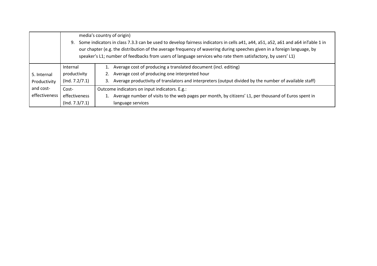|                                                           | media's country of origin)<br>Some indicators in class 7.3.3 can be used to develop fairness indicators in cells a41, a44, a51, a52, a61 and a64 inTable 1 in<br>9.<br>our chapter (e.g. the distribution of the average frequency of wavering during speeches given in a foreign language, by<br>speaker's L1; number of feedbacks from users of language services who rate them satisfactory, by users' L1) |                                                                                                                                                                                                                                   |  |
|-----------------------------------------------------------|---------------------------------------------------------------------------------------------------------------------------------------------------------------------------------------------------------------------------------------------------------------------------------------------------------------------------------------------------------------------------------------------------------------|-----------------------------------------------------------------------------------------------------------------------------------------------------------------------------------------------------------------------------------|--|
| 5. Internal<br>Productivity<br>and cost-<br>effectiveness | Internal<br>productivity<br>(Ind. 7.2/7.1)                                                                                                                                                                                                                                                                                                                                                                    | Average cost of producing a translated document (incl. editing)<br>Average cost of producing one interpreted hour<br>Average productivity of translators and interpreters (output divided by the number of available staff)<br>3. |  |
|                                                           | Cost-<br>effectiveness<br>(Ind. 7.3/7.1)                                                                                                                                                                                                                                                                                                                                                                      | Outcome indicators on input indicators. E.g.:<br>Average number of visits to the web pages per month, by citizens' L1, per thousand of Euros spent in<br>language services                                                        |  |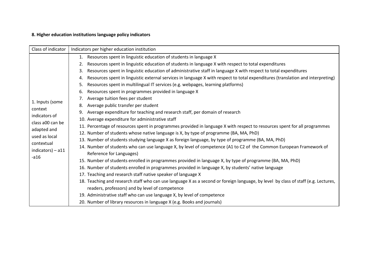#### **8. Higher education institutions language policy indicators**

| Class of indicator                                              | Indicators per higher education institution                                                                                           |  |  |
|-----------------------------------------------------------------|---------------------------------------------------------------------------------------------------------------------------------------|--|--|
|                                                                 | Resources spent in linguistic education of students in language X<br>1.                                                               |  |  |
|                                                                 | Resources spent in linguistic education of students in language X with respect to total expenditures<br>2.                            |  |  |
|                                                                 | Resources spent in linguistic education of administrative staff in language X with respect to total expenditures<br>3.                |  |  |
|                                                                 | Resources spent in linguistic external services in language X with respect to total expenditures (translation and interpreting)<br>4. |  |  |
|                                                                 | Resources spent in multilingual IT services (e.g. webpages, learning platforms)<br>5.                                                 |  |  |
|                                                                 | Resources spent in programmes provided in language X<br>6.                                                                            |  |  |
|                                                                 | Average tuition fees per student<br>7.                                                                                                |  |  |
| 1. Inputs (some<br>context<br>indicators of<br>class a00 can be | Average public transfer per student<br>8.                                                                                             |  |  |
|                                                                 | Average expenditure for teaching and research staff, per domain of research<br>9.                                                     |  |  |
|                                                                 | 10. Average expenditure for administrative staff                                                                                      |  |  |
| adapted and                                                     | 11. Percentage of resources spent in programmes provided in language X with respect to resources spent for all programmes             |  |  |
| used as local                                                   | 12. Number of students whose native language is X, by type of programme (BA, MA, PhD)                                                 |  |  |
| contextual                                                      | 13. Number of students studying language X as foreign language, by type of programme (BA, MA, PhD)                                    |  |  |
| $indicators$ ) – a11                                            | 14. Number of students who can use language X, by level of competence (A1 to C2 of the Common European Framework of                   |  |  |
| $-a16$                                                          | Reference for Languages)                                                                                                              |  |  |
|                                                                 | 15. Number of students enrolled in programmes provided in language X, by type of programme (BA, MA, PhD)                              |  |  |
|                                                                 | 16. Number of students enrolled in programmes provided in language X, by students' native language                                    |  |  |
|                                                                 | 17. Teaching and research staff native speaker of language X                                                                          |  |  |
|                                                                 | 18. Teaching and research staff who can use language X as a second or foreign language, by level by class of staff (e.g. Lectures,    |  |  |
|                                                                 | readers, professors) and by level of competence                                                                                       |  |  |
|                                                                 | 19. Administrative staff who can use language X, by level of competence                                                               |  |  |
|                                                                 | 20. Number of library resources in language X (e.g. Books and journals)                                                               |  |  |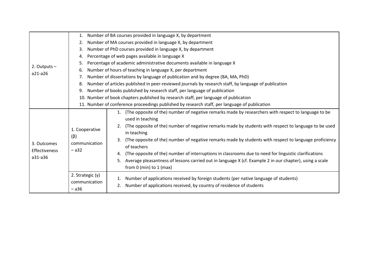|                                         | Number of BA courses provided in language X, by department<br>1.                                                                                                                                                                                                                                                                                                                                                                                                                                                                                                                                                                                                                                      |  |  |  |  |  |
|-----------------------------------------|-------------------------------------------------------------------------------------------------------------------------------------------------------------------------------------------------------------------------------------------------------------------------------------------------------------------------------------------------------------------------------------------------------------------------------------------------------------------------------------------------------------------------------------------------------------------------------------------------------------------------------------------------------------------------------------------------------|--|--|--|--|--|
|                                         | Number of MA courses provided in language X, by department<br>2.                                                                                                                                                                                                                                                                                                                                                                                                                                                                                                                                                                                                                                      |  |  |  |  |  |
|                                         | Number of PhD courses provided in language X, by department<br>3.                                                                                                                                                                                                                                                                                                                                                                                                                                                                                                                                                                                                                                     |  |  |  |  |  |
|                                         | Percentage of web pages available in language X<br>4.                                                                                                                                                                                                                                                                                                                                                                                                                                                                                                                                                                                                                                                 |  |  |  |  |  |
| 2. Outputs $-$                          | Percentage of academic administrative documents available in language X<br>5.                                                                                                                                                                                                                                                                                                                                                                                                                                                                                                                                                                                                                         |  |  |  |  |  |
| a21-a26                                 | Number of hours of teaching in language X, per department<br>6.                                                                                                                                                                                                                                                                                                                                                                                                                                                                                                                                                                                                                                       |  |  |  |  |  |
|                                         | Number of dissertations by language of publication and by degree (BA, MA, PhD)<br>7.                                                                                                                                                                                                                                                                                                                                                                                                                                                                                                                                                                                                                  |  |  |  |  |  |
|                                         | Number of articles published in peer-reviewed journals by research staff, by language of publication<br>8.                                                                                                                                                                                                                                                                                                                                                                                                                                                                                                                                                                                            |  |  |  |  |  |
|                                         | Number of books published by research staff, per language of publication<br>9.                                                                                                                                                                                                                                                                                                                                                                                                                                                                                                                                                                                                                        |  |  |  |  |  |
|                                         | 10. Number of book chapters published by research staff, per language of publication                                                                                                                                                                                                                                                                                                                                                                                                                                                                                                                                                                                                                  |  |  |  |  |  |
|                                         | 11. Number of conference proceedings published by research staff, per language of publication                                                                                                                                                                                                                                                                                                                                                                                                                                                                                                                                                                                                         |  |  |  |  |  |
| 3. Outcomes<br>Effectiveness<br>a31-a36 | 1. (The opposite of the) number of negative remarks made by researchers with respect to language to be<br>used in teaching<br>(The opposite of the) number of negative remarks made by students with respect to language to be used<br>1. Cooperative<br>in teaching<br>$(\beta)$<br>(The opposite of the) number of negative remarks made by students with respect to language proficiency<br>communication<br>of teachers<br>$-$ a32<br>(The opposite of the) number of interruptions in classrooms due to need for linguistic clarifications<br>4.<br>Average pleasantness of lessons carried out in language X (cf. Example 2 in our chapter), using a scale<br>5.<br>from $0$ (min) to $1$ (max) |  |  |  |  |  |
|                                         | 2. Strategic $(y)$<br>Number of applications received by foreign students (per native language of students)<br>1.<br>communication<br>Number of applications received, by country of residence of students<br>$-$ a36                                                                                                                                                                                                                                                                                                                                                                                                                                                                                 |  |  |  |  |  |